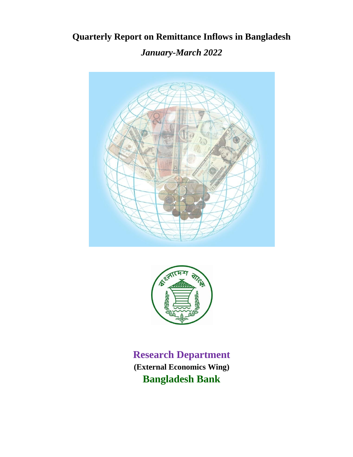**Quarterly Report on Remittance Inflows in Bangladesh**

*January-March 2022*





**Research Department (External Economics Wing) Bangladesh Bank**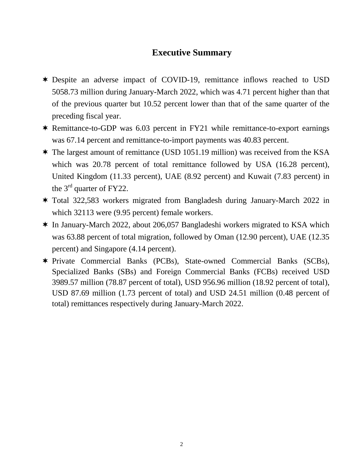# **Executive Summary**

- Despite an adverse impact of COVID-19, remittance inflows reached to USD 5058.73 million during January-March 2022, which was 4.71 percent higher than that of the previous quarter but 10.52 percent lower than that of the same quarter of the preceding fiscal year.
- Remittance-to-GDP was 6.03 percent in FY21 while remittance-to-export earnings was 67.14 percent and remittance-to-import payments was 40.83 percent.
- The largest amount of remittance (USD 1051.19 million) was received from the KSA which was 20.78 percent of total remittance followed by USA (16.28 percent), United Kingdom (11.33 percent), UAE (8.92 percent) and Kuwait (7.83 percent) in the  $3<sup>rd</sup>$  quarter of FY22.
- Total 322,583 workers migrated from Bangladesh during January-March 2022 in which 32113 were (9.95 percent) female workers.
- \* In January-March 2022, about 206,057 Bangladeshi workers migrated to KSA which was 63.88 percent of total migration, followed by Oman (12.90 percent), UAE (12.35 percent) and Singapore (4.14 percent).
- Private Commercial Banks (PCBs), State-owned Commercial Banks (SCBs), Specialized Banks (SBs) and Foreign Commercial Banks (FCBs) received USD 3989.57 million (78.87 percent of total), USD 956.96 million (18.92 percent of total), USD 87.69 million (1.73 percent of total) and USD 24.51 million (0.48 percent of total) remittances respectively during January-March 2022.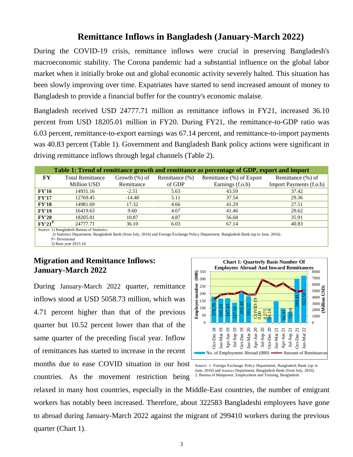## **Remittance Inflows in Bangladesh (January-March 2022)**

During the COVID-19 crisis, remittance inflows were crucial in preserving Bangladesh's macroeconomic stability. The Corona pandemic had a substantial influence on the global labor market when it initially broke out and global economic activity severely halted. This situation has been slowly improving over time. Expatriates have started to send increased amount of money to Bangladesh to provide a financial buffer for the country's economic malaise.

Bangladesh received USD 24777.71 million as remittance inflows in FY21, increased 36.10 percent from USD 18205.01 million in FY20. During FY21, the remittance-to-GDP ratio was 6.03 percent, remittance-to-export earnings was 67.14 percent, and remittance-to-import payments was 40.83 percent (Table 1). Government and Bangladesh Bank policy actions were significant in driving remittance inflows through legal channels (Table 2).

|                                                                                                                                                                                        | Table 1: Trend of remittance growth and remittance as percentage of GDP, export and import |                  |                |                          |                         |  |  |  |  |  |  |
|----------------------------------------------------------------------------------------------------------------------------------------------------------------------------------------|--------------------------------------------------------------------------------------------|------------------|----------------|--------------------------|-------------------------|--|--|--|--|--|--|
| FY                                                                                                                                                                                     | <b>Total Remittance</b>                                                                    | Growth $(\%)$ of | Remittance (%) | Remittance (%) of Export | Remittance (%) of       |  |  |  |  |  |  |
|                                                                                                                                                                                        | Million USD                                                                                | Remittance       | of GDP         | Earnings (f.o.b)         | Import Payments (f.o.b) |  |  |  |  |  |  |
| <b>FY'16</b>                                                                                                                                                                           | 14931.16                                                                                   | $-2.51$          | 5.63           | 43.59                    | 37.42                   |  |  |  |  |  |  |
| <b>FY'17</b>                                                                                                                                                                           | 12769.45                                                                                   | $-14.48$         | 5.11           | 37.54                    | 29.36                   |  |  |  |  |  |  |
| <b>FY'18</b>                                                                                                                                                                           | 14981.69                                                                                   | 17.32            | 4.66           | 41.29                    | 27.51                   |  |  |  |  |  |  |
| <b>FY'19</b>                                                                                                                                                                           | 16419.63                                                                                   | 9.60             | 4.67           | 41.46                    | 29.62                   |  |  |  |  |  |  |
| <b>FY'20</b>                                                                                                                                                                           | 18205.01                                                                                   | 10.87            | 4.87           | 56.68                    | 35.91                   |  |  |  |  |  |  |
| $FY'21^P$                                                                                                                                                                              | 24777.71                                                                                   | 36.10            | 6.03           | 67.14                    | 40.83                   |  |  |  |  |  |  |
| Source: 1) Bangladesh Bureau of Statistics.<br>2) Statistics Department, Bangladesh Bank (from July, 2016) and Foreign Exchange Policy Department, Bangladesh Bank (up to June, 2016). |                                                                                            |                  |                |                          |                         |  |  |  |  |  |  |

P= Provisional 3) Base year 2015-16

### **Migration and Remittance Inflows: January-March 2022**

During January-March 2022 quarter, remittance inflows stood at USD 5058.73 million, which was 4.71 percent higher than that of the previous quarter but 10.52 percent lower than that of the same quarter of the preceding fiscal year. Inflow of remittances has started to increase in the recent months due to ease COVID situation in our host

countries. As the movement restriction being



Source: 1. Foreign Exchange Policy Department, Bangladesh Bank (up to June, 2016) and Statistics Department, Bangladesh Bank (from July, 2016). 2. Bureau of Manpower, Employment and Training, Bangladesh.

relaxed in many host countries, especially in the Middle-East countries, the number of emigrant workers has notably been increased. Therefore, about 322583 Bangladeshi employees have gone to abroad during January-March 2022 against the migrant of 299410 workers during the previous quarter (Chart 1).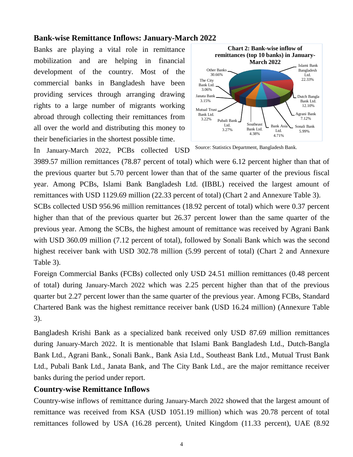### **Bank-wise Remittance Inflows: January-March 2022**

Banks are playing a vital role in remittance mobilization and are helping in financial development of the country. Most of the commercial banks in Bangladesh have been providing services through arranging drawing rights to a large number of migrants working abroad through collecting their remittances from all over the world and distributing this money to their beneficiaries in the shortest possible time.



In January-March 2022, PCBs collected USD Source: Statistics Department, Bangladesh Bank.

3989.57 million remittances (78.87 percent of total) which were 6.12 percent higher than that of the previous quarter but 5.70 percent lower than that of the same quarter of the previous fiscal year. Among PCBs, Islami Bank Bangladesh Ltd. (IBBL) received the largest amount of remittances with USD 1129.69 million (22.33 percent of total) (Chart 2 and Annexure Table 3).

SCBs collected USD 956.96 million remittances (18.92 percent of total) which were 0.37 percent higher than that of the previous quarter but 26.37 percent lower than the same quarter of the previous year. Among the SCBs, the highest amount of remittance was received by Agrani Bank with USD 360.09 million (7.12 percent of total), followed by Sonali Bank which was the second highest receiver bank with USD 302.78 million (5.99 percent of total) (Chart 2 and Annexure Table 3).

Foreign Commercial Banks (FCBs) collected only USD 24.51 million remittances (0.48 percent of total) during January-March 2022 which was 2.25 percent higher than that of the previous quarter but 2.27 percent lower than the same quarter of the previous year. Among FCBs, Standard Chartered Bank was the highest remittance receiver bank (USD 16.24 million) (Annexure Table 3).

Bangladesh Krishi Bank as a specialized bank received only USD 87.69 million remittances during January-March 2022. It is mentionable that Islami Bank Bangladesh Ltd., Dutch-Bangla Bank Ltd., Agrani Bank., Sonali Bank., Bank Asia Ltd., Southeast Bank Ltd., Mutual Trust Bank Ltd., Pubali Bank Ltd., Janata Bank, and The City Bank Ltd., are the major remittance receiver banks during the period under report.

#### **Country-wise Remittance Inflows**

Country-wise inflows of remittance during January-March 2022 showed that the largest amount of remittance was received from KSA (USD 1051.19 million) which was 20.78 percent of total remittances followed by USA (16.28 percent), United Kingdom (11.33 percent), UAE (8.92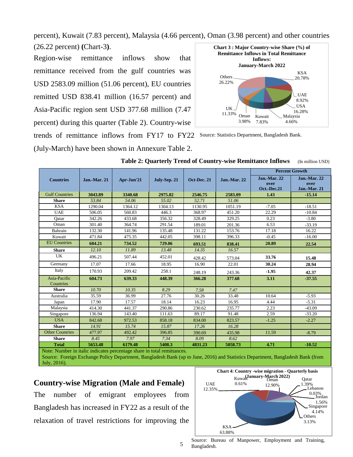**Chart 3 : Major Country-wise Share (%) of**  percent), Kuwait (7.83 percent), Malaysia (4.66 percent), Oman (3.98 percent) and other countries (26.22 percent) **(**Chart-3**)**.

Region-wise remittance inflows show that remittance received from the gulf countries was USD 2583.09 million (51.06 percent), EU countries remitted USD 838.41 million (16.57 percent) and Asia-Pacific region sent USD 377.68 million (7.47 percent) during this quarter (Table 2). Country-wise trends of remittance inflows from FY17 to FY22 Source: Statistics Department, Bangladesh Bank.

(July-March) have been shown in Annexure Table 2.



|                                                                        |                     |            |              |             |                      | <b>Percent Growth</b>                      |                                             |  |
|------------------------------------------------------------------------|---------------------|------------|--------------|-------------|----------------------|--------------------------------------------|---------------------------------------------|--|
| <b>Countries</b>                                                       | <b>Jan.-Mar. 21</b> | Apr-Jun'21 | July-Sep. 21 | Oct-Dec. 21 | <b>Jan.</b> -Mar. 22 | <b>Jan.-Mar. 22</b><br>over<br>Oct.-Dec.21 | <b>Jan.-Mar. 22</b><br>over<br>Jan.-Mar. 21 |  |
| <b>Gulf Countries</b>                                                  | 3043.89             | 3340.68    | 2975.82      | 2546.75     | 2583.09              | 1.43                                       | $-15.14$                                    |  |
| <b>Share</b>                                                           | 53.84               | 54.06      | 55.02        | 52.71       | 51.06                |                                            |                                             |  |
| <b>KSA</b>                                                             | 1290.04             | 1364.12    | 1304.13      | 1130.95     | 1051.19              | $-7.05$                                    | $-18.51$                                    |  |
| <b>UAE</b>                                                             | 506.05              | 560.83     | 446.3        | 368.97      | 451.20               | 22.29                                      | $-10.84$                                    |  |
| Qatar                                                                  | 342.26              | 433.68     | 356.32       | 328.49      | 329.25               | 0.23                                       | $-3.80$                                     |  |
| Oman                                                                   | 301.40              | 364.74     | 291.54       | 189.01      | 201.36               | 6.53                                       | $-33.19$                                    |  |
| Bahrain                                                                | 132.30              | 141.96     | 135.48       | 131.22      | 153.76               | 17.18                                      | 16.22                                       |  |
| Kuwait                                                                 | 471.84              | 475.35     | 442.05       | 398.11      | 396.33               | $-0.45$                                    | $-16.00$                                    |  |
| <b>EU</b> Countries                                                    | 684.21              | 734.52     | 729.06       | 693.51      | 838.41               | 20.89                                      | 22.54                                       |  |
| <b>Share</b>                                                           | 12.10               | 11.89      | 13.48        | 14.35       | 16.57                |                                            |                                             |  |
| UK                                                                     | 496.21              | 507.44     | 452.01       | 428.42      | 573.04               | 33.76                                      | 15.48                                       |  |
| Germany                                                                | 17.07               | 17.66      | 18.95        | 16.90       | 22.01                | 30.24                                      | 28.94                                       |  |
| Italy                                                                  | 170.93              | 209.42     | 258.1        | 248.19      | 243.36               | $-1.95$                                    | 42.37                                       |  |
| Asia-Pacific<br>Countries                                              | 604.73              | 639.33     | 448.39       | 366.28      | 377.68               | 3.11                                       | $-37.55$                                    |  |
| <b>Share</b>                                                           | 10.70               | 10.35      | 8.29         | 7.58        | 7.47                 |                                            |                                             |  |
| Australia                                                              | 35.59               | 36.99      | 27.76        | 30.26       | 33.48                | 10.64                                      | $-5.93$                                     |  |
| Japan                                                                  | 17.90               | 17.57      | 18.14        | 16.23       | 16.95                | 4.44                                       | $-5.31$                                     |  |
| Malaysia                                                               | 414.30              | 441.37     | 290.86       | 230.62      | 235.77               | 2.23                                       | $-43.09$                                    |  |
| Singapore                                                              | 136.94              | 143.40     | 111.63       | 89.17       | 91.48                | 2.59                                       | $-33.20$                                    |  |
| <b>USA</b>                                                             | 842.68              | 972.53     | 858.18       | 834.00      | 823.57               | $-1.25$                                    | $-2.27$                                     |  |
| <b>Share</b>                                                           | 14.91               | 15.74      | 15.87        | 17.26       | 16.28                |                                            |                                             |  |
| <b>Other Countries</b>                                                 | 477.97              | 492.42     | 396.85       | 390.69      | 435.98               | 11.59                                      | $-8.79$                                     |  |
| <b>Share</b>                                                           | 8.45                | 7.97       | 7.34         | 8.09        | 8.62                 |                                            |                                             |  |
| <b>Total</b>                                                           | 5653.48             | 6179.48    | 5408.3       | 4831.23     | 5058.73              | 4.71                                       | $-10.52$                                    |  |
| Note: Number in italic indicates percentage share in total remittances |                     |            |              |             |                      |                                            |                                             |  |

**Table 2: Quarterly Trend of Country-wise Remittance Inflows** (In million USD)

Note: Number in italic indicates percentage share in total remittances. Source: Foreign Exchange Policy Department, Bangladesh Bank (up to June, 2016) and Statistics Department, Bangladesh Bank (from July, 2016).

#### **Country-wise Migration (Male and Female)**

The number of emigrant employees from Bangladesh has increased in FY22 as a result of the relaxation of travel restrictions for improving the



Source: Bureau of Manpower, Employment and Training, Bangladesh.

5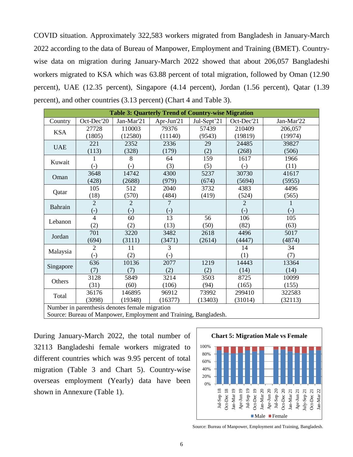COVID situation. Approximately 322,583 workers migrated from Bangladesh in January-March 2022 according to the data of Bureau of Manpower, Employment and Training (BMET). Countrywise data on migration during January-March 2022 showed that about 206,057 Bangladeshi workers migrated to KSA which was 63.88 percent of total migration, followed by Oman (12.90 percent), UAE (12.35 percent), Singapore (4.14 percent), Jordan (1.56 percent), Qatar (1.39 percent), and other countries (3.13 percent) (Chart 4 and Table 3).

| <b>Table 3: Quarterly Trend of Country-wise Migration</b> |                                                |                   |                   |             |                |                   |  |  |  |  |
|-----------------------------------------------------------|------------------------------------------------|-------------------|-------------------|-------------|----------------|-------------------|--|--|--|--|
| Country                                                   | Oct-Dec'20                                     | Jan-Mar'21        | Apr-Jun'21        | Jul-Sept'21 | Oct-Dec'21     | Jan-Mar'22        |  |  |  |  |
|                                                           | 27728                                          | 110003            | 79376             | 57439       | 210409         | 206,057           |  |  |  |  |
| <b>KSA</b>                                                | (1805)                                         | (12580)           | (11140)           | (9543)      | (19819)        | (19974)           |  |  |  |  |
| <b>UAE</b>                                                | 221                                            | 2352              | 2336              | 29          | 24485          | 39827             |  |  |  |  |
|                                                           | (113)                                          | (328)             | (179)             | (2)         | (268)          | (506)             |  |  |  |  |
| Kuwait                                                    | 1                                              | 8                 | 64                | 159         | 1617           | 1966              |  |  |  |  |
|                                                           | $(-)$                                          | $(-)$             | (3)               | (5)         | $(-)$          | (11)              |  |  |  |  |
| Oman                                                      | 3648                                           | 14742             | 4300              | 5237        | 30730          | 41617             |  |  |  |  |
|                                                           | (428)                                          | (2688)            | (979)             | (674)       | (5694)         | (5955)            |  |  |  |  |
| Qatar                                                     | 105                                            | 512               | 2040              | 3732        | 4383           | 4496              |  |  |  |  |
|                                                           | (18)                                           | (570)             | (484)             | (419)       | (524)          | (565)             |  |  |  |  |
| Bahrain                                                   | $\overline{2}$                                 | $\overline{2}$    | 7                 |             | $\overline{2}$ |                   |  |  |  |  |
|                                                           | $(-)$                                          | $\left( -\right)$ | $\left( -\right)$ |             | $(-)$          | $\left( -\right)$ |  |  |  |  |
| Lebanon                                                   | $\overline{4}$                                 | 60                | 13                | 56          | 106            | 105               |  |  |  |  |
|                                                           | (2)                                            | (2)               | (13)              | (50)        | (82)           | (63)              |  |  |  |  |
| Jordan                                                    | 701                                            | 3220              | 3482              | 2618        | 4496           | 5017              |  |  |  |  |
|                                                           | (694)                                          | (3111)            | (3471)            | (2614)      | (4447)         | (4874)            |  |  |  |  |
| Malaysia                                                  | $\overline{2}$                                 | 11                | 3                 |             | 14             | 34                |  |  |  |  |
|                                                           | $\overline{(-)}$                               | (2)               | $\left( -\right)$ |             | (1)            | (7)               |  |  |  |  |
| Singapore                                                 | 636                                            | 10136             | 2077              | 1219        | 14443          | 13364             |  |  |  |  |
|                                                           | (7)                                            | (7)               | (2)               | (2)         | (14)           | (14)              |  |  |  |  |
| Others                                                    | 3128                                           | 5849              | 3214              | 3503        | 8725           | 10099             |  |  |  |  |
|                                                           | (31)                                           | (60)              | (106)             | (94)        | (165)          | (155)             |  |  |  |  |
| Total                                                     | 36176                                          | 146895            | 96912             | 73992       | 299410         | 322583            |  |  |  |  |
|                                                           | (3098)                                         | (19348)           | (16377)           | (13403)     | (31014)        | (32113)           |  |  |  |  |
|                                                           | Number in parenthesis denotes female migration |                   |                   |             |                |                   |  |  |  |  |

Source: Bureau of Manpower, Employment and Training, Bangladesh.

During January-March 2022, the total number of 32113 Bangladeshi female workers migrated to different countries which was 9.95 percent of total migration (Table 3 and Chart 5). Country-wise overseas employment (Yearly) data have been shown in Annexure (Table 1).



Source: Bureau of Manpower, Employment and Training, Bangladesh.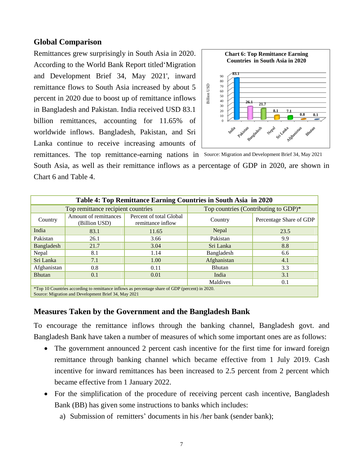#### **Global Comparison**

Remittances grew surprisingly in South Asia in 2020. According to the World Bank Report titled'Migration and Development Brief 34, May 2021', inward remittance flows to South Asia increased by about 5 percent in 2020 due to boost up of remittance inflows in Bangladesh and Pakistan. India received USD 83.1 billion remittances, accounting for 11.65% of worldwide inflows. Bangladesh, Pakistan, and Sri Lanka continue to receive increasing amounts of



remittances. The top remittance-earning nations in Source: Migration and Development Brief 34, May 2021 South Asia, as well as their remittance inflows as a percentage of GDP in 2020, are shown in Chart 6 and Table 4.

| Table 4: Top Remittance Earning Countries in South Asia in 2020                                 |                                                                                        |      |                                      |                         |  |  |  |  |  |
|-------------------------------------------------------------------------------------------------|----------------------------------------------------------------------------------------|------|--------------------------------------|-------------------------|--|--|--|--|--|
|                                                                                                 | Top remittance recipient countries                                                     |      | Top countries (Contributing to GDP)* |                         |  |  |  |  |  |
| Country                                                                                         | Amount of remittances<br>Percent of total Global<br>(Billion USD)<br>remittance inflow |      | Country                              | Percentage Share of GDP |  |  |  |  |  |
| India                                                                                           | 83.1<br>11.65                                                                          |      | Nepal                                | 23.5                    |  |  |  |  |  |
| Pakistan                                                                                        | 26.1<br>3.66                                                                           |      | Pakistan                             | 9.9                     |  |  |  |  |  |
| Bangladesh                                                                                      | 21.7                                                                                   | 3.04 |                                      | 8.8                     |  |  |  |  |  |
| Nepal                                                                                           | 8.1                                                                                    | 1.14 | Bangladesh                           | 6.6                     |  |  |  |  |  |
| Sri Lanka                                                                                       | 7.1                                                                                    | 1.00 | Afghanistan                          | 4.1                     |  |  |  |  |  |
| Afghanistan                                                                                     | 0.8                                                                                    | 0.11 | <b>Bhutan</b>                        | 3.3                     |  |  |  |  |  |
| <b>Bhutan</b>                                                                                   | 0.1                                                                                    | 0.01 | India                                | 3.1                     |  |  |  |  |  |
|                                                                                                 |                                                                                        |      | Maldives                             | 0.1                     |  |  |  |  |  |
| *Top 10 Countries according to remittance inflows as percentage share of GDP (percent) in 2020. |                                                                                        |      |                                      |                         |  |  |  |  |  |

Source: Migration and Development Brief 34, May 2021

### **Measures Taken by the Government and the Bangladesh Bank**

To encourage the remittance inflows through the banking channel, Bangladesh govt. and Bangladesh Bank have taken a number of measures of which some important ones are as follows:

- The government announced 2 percent cash incentive for the first time for inward foreign remittance through banking channel which became effective from 1 July 2019. Cash incentive for inward remittances has been increased to 2.5 percent from 2 percent which became effective from 1 January 2022.
- For the simplification of the procedure of receiving percent cash incentive, Bangladesh Bank (BB) has given some instructions to banks which includes:
	- a) Submission of remitters' documents in his /her bank (sender bank);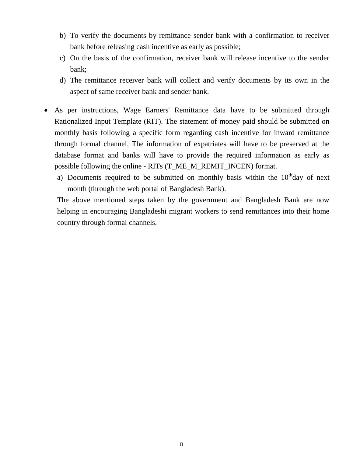- b) To verify the documents by remittance sender bank with a confirmation to receiver bank before releasing cash incentive as early as possible;
- c) On the basis of the confirmation, receiver bank will release incentive to the sender bank;
- d) The remittance receiver bank will collect and verify documents by its own in the aspect of same receiver bank and sender bank.
- As per instructions, Wage Earners' Remittance data have to be submitted through Rationalized Input Template (RIT). The statement of money paid should be submitted on monthly basis following a specific form regarding cash incentive for inward remittance through formal channel. The information of expatriates will have to be preserved at the database format and banks will have to provide the required information as early as possible following the online - RITs (T\_ME\_M\_REMIT\_INCEN) format.
	- a) Documents required to be submitted on monthly basis within the  $10<sup>th</sup>$ day of next month (through the web portal of Bangladesh Bank).

The above mentioned steps taken by the government and Bangladesh Bank are now helping in encouraging Bangladeshi migrant workers to send remittances into their home country through formal channels.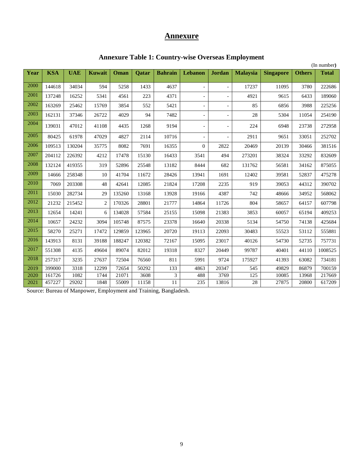# **Annexure**

|                   | (In number) |            |                |        |              |                |                          |                          |                 |                  |               |              |
|-------------------|-------------|------------|----------------|--------|--------------|----------------|--------------------------|--------------------------|-----------------|------------------|---------------|--------------|
| Year              | <b>KSA</b>  | <b>UAE</b> | <b>Kuwait</b>  | Oman   | <b>Qatar</b> | <b>Bahrain</b> | Lebanon                  | <b>Jordan</b>            | <b>Malaysia</b> | <b>Singapore</b> | <b>Others</b> | <b>Total</b> |
|                   |             |            |                |        |              |                |                          |                          |                 |                  |               |              |
| 2000              | 144618      | 34034      | 594            | 5258   | 1433         | 4637           | $\overline{\phantom{a}}$ | $\equiv$                 | 17237           | 11095            | 3780          | 222686       |
| 2001              | 137248      | 16252      | 5341           | 4561   | 223          | 4371           |                          | $\overline{a}$           | 4921            | 9615             | 6433          | 189060       |
| 2002              | 163269      | 25462      | 15769          | 3854   | 552          | 5421           | $\overline{\phantom{a}}$ | $\overline{a}$           | 85              | 6856             | 3988          | 225256       |
| 2003              | 162131      | 37346      | 26722          | 4029   | 94           | 7482           | $\overline{\phantom{a}}$ | $\qquad \qquad -$        | 28              | 5304             | 11054         | 254190       |
| 2004              | 139031      | 47012      | 41108          | 4435   | 1268         | 9194           | $\overline{\phantom{a}}$ | $\overline{\phantom{0}}$ | 224             | 6948             | 23738         | 272958       |
| 2005              | 80425       | 61978      | 47029          | 4827   | 2114         | 10716          | $\overline{\phantom{a}}$ | $\overline{a}$           | 2911            | 9651             | 33051         | 252702       |
| 2006              | 109513      | 130204     | 35775          | 8082   | 7691         | 16355          | $\overline{0}$           | 2822                     | 20469           | 20139            | 30466         | 381516       |
| 2007              | 204112      | 226392     | 4212           | 17478  | 15130        | 16433          | 3541                     | 494                      | 273201          | 38324            | 33292         | 832609       |
| 2008              | 132124      | 419355     | 319            | 52896  | 25548        | 13182          | 8444                     | 682                      | 131762          | 56581            | 34162         | 875055       |
| 2009              | 14666       | 258348     | 10             | 41704  | 11672        | 28426          | 13941                    | 1691                     | 12402           | 39581            | 52837         | 475278       |
| 2010              | 7069        | 203308     | 48             | 42641  | 12085        | 21824          | 17208                    | 2235                     | 919             | 39053            | 44312         | 390702       |
| 2011              | 15030       | 282734     | 29             | 135260 | 13168        | 13928          | 19166                    | 4387                     | 742             | 48666            | 34952         | 568062       |
| 2012              | 21232       | 215452     | $\overline{2}$ | 170326 | 28801        | 21777          | 14864                    | 11726                    | 804             | 58657            | 64157         | 607798       |
| $\overline{2013}$ | 12654       | 14241      | 6              | 134028 | 57584        | 25155          | 15098                    | 21383                    | 3853            | 60057            | 65194         | 409253       |
| 2014              | 10657       | 24232      | 3094           | 105748 | 87575        | 23378          | 16640                    | 20338                    | 5134            | 54750            | 74138         | 425684       |
| 2015              | 58270       | 25271      | 17472          | 129859 | 123965       | 20720          | 19113                    | 22093                    | 30483           | 55523            | 53112         | 555881       |
| 2016              | 143913      | 8131       | 39188          | 188247 | 120382       | 72167          | 15095                    | 23017                    | 40126           | 54730            | 52735         | 757731       |
| 2017              | 551308      | 4135       | 49604          | 89074  | 82012        | 19318          | 8327                     | 20449                    | 99787           | 40401            | 44110         | 1008525      |
| 2018              | 257317      | 3235       | 27637          | 72504  | 76560        | 811            | 5991                     | 9724                     | 175927          | 41393            | 63082         | 734181       |
| 2019              | 399000      | 3318       | 12299          | 72654  | 50292        | 133            | 4863                     | 20347                    | 545             | 49829            | 86879         | 700159       |
| 2020              | 161726      | 1082       | 1744           | 21071  | 3608         | 3              | 488                      | 3769                     | 125             | 10085            | 13968         | 217669       |
| 2021              | 457227      | 29202      | 1848           | 55009  | 11158        | 11             | 235                      | 13816                    | 28              | 27875            | 20800         | 617209       |

### **Annexure Table 1: Country-wise Overseas Employment**

Source: Bureau of Manpower, Employment and Training, Bangladesh.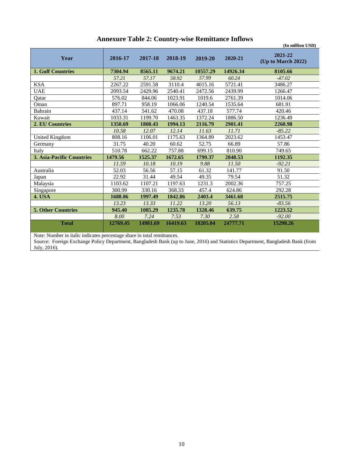|                                  |          |          |          |          |          | (In million USD)              |
|----------------------------------|----------|----------|----------|----------|----------|-------------------------------|
| Year                             | 2016-17  | 2017-18  | 2018-19  | 2019-20  | 2020-21  | 2021-22<br>(Up to March 2022) |
| <b>1. Gulf Countries</b>         | 7304.94  | 8565.11  | 9674.21  | 10557.29 | 14926.34 | 8105.66                       |
|                                  | 57.21    | 57.17    | 58.92    | 57.99    | 60.24    | $-47.02$                      |
| <b>KSA</b>                       | 2267.22  | 2591.58  | 3110.4   | 4015.16  | 5721.41  | 3486.27                       |
| <b>UAE</b>                       | 2093.54  | 2429.96  | 2540.41  | 2472.56  | 2439.99  | 1266.47                       |
| Qatar                            | 576.02   | 844.06   | 1023.91  | 1019.6   | 2761.39  | 1014.06                       |
| Oman                             | 897.71   | 958.19   | 1066.06  | 1240.54  | 1535.64  | 681.91                        |
| Bahrain                          | 437.14   | 541.62   | 470.08   | 437.18   | 577.74   | 420.46                        |
| Kuwait                           | 1033.31  | 1199.70  | 1463.35  | 1372.24  | 1886.50  | 1236.49                       |
| 2. EU Countries                  | 1350.69  | 1808.43  | 1994.13  | 2116.79  | 2901.41  | 2260.98                       |
|                                  | 10.58    | 12.07    | 12.14    | 11.63    | 11.71    | $-85.22$                      |
| United Kingdom                   | 808.16   | 1106.01  | 1175.63  | 1364.89  | 2023.62  | 1453.47                       |
| Germany                          | 31.75    | 40.20    | 60.62    | 52.75    | 66.89    | 57.86                         |
| Italy                            | 510.78   | 662.22   | 757.88   | 699.15   | 810.90   | 749.65                        |
| <b>3. Asia-Pacific Countries</b> | 1479.56  | 1525.37  | 1672.65  | 1799.37  | 2848.53  | 1192.35                       |
|                                  | 11.59    | 10.18    | 10.19    | 9.88     | 11.50    | $-92.21$                      |
| Australia                        | 52.03    | 56.56    | 57.15    | 61.32    | 141.77   | 91.50                         |
| Japan                            | 22.92    | 31.44    | 49.54    | 49.35    | 79.54    | 51.32                         |
| Malaysia                         | 1103.62  | 1107.21  | 1197.63  | 1231.3   | 2002.36  | 757.25                        |
| Singapore                        | 300.99   | 330.16   | 368.33   | 457.4    | 624.86   | 292.28                        |
| <b>4. USA</b>                    | 1688.86  | 1997.49  | 1842.86  | 2403.4   | 3461.68  | 2515.75                       |
|                                  | 13.23    | 13.33    | 11.22    | 13.20    | 56.13    | $-83.56$                      |
| <b>5. Other Countries</b>        | 945.40   | 1085.29  | 1235.78  | 1328.46  | 639.75   | 1223.52                       |
|                                  | 8.00     | 7.24     | 7.53     | 7.30     | 2.58     | $-92.00$                      |
| <b>Total</b>                     | 12769.45 | 14981.69 | 16419.63 | 18205.04 | 24777.71 | 15298.26                      |

### **Annexure Table 2: Country-wise Remittance Inflows**

a sa T Note: Number in italic indicates percentage share in total remittances.

Source: Foreign Exchange Policy Department, Bangladesh Bank (up to June, 2016) and Statistics Department, Bangladesh Bank (from July, 2016).